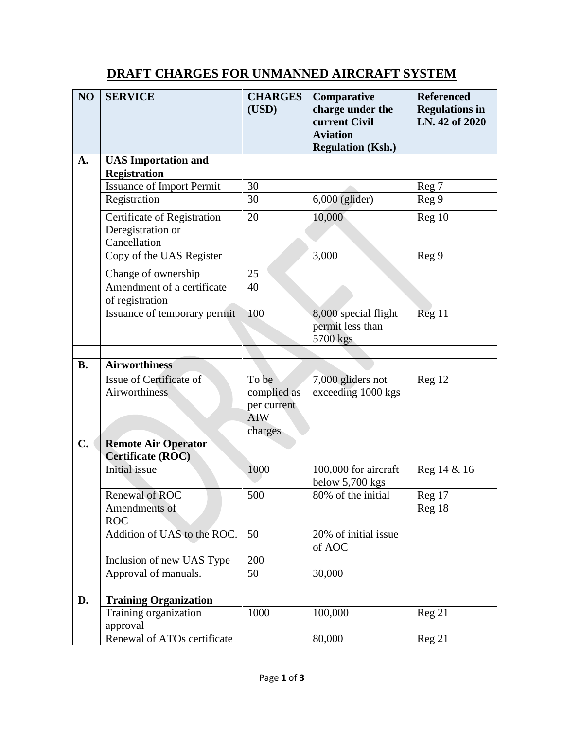## **DRAFT CHARGES FOR UNMANNED AIRCRAFT SYSTEM**

| NO        | <b>SERVICE</b>                                   | <b>CHARGES</b>                                               | Comparative                                          | <b>Referenced</b>                       |
|-----------|--------------------------------------------------|--------------------------------------------------------------|------------------------------------------------------|-----------------------------------------|
|           |                                                  | (USD)                                                        | charge under the<br>current Civil                    | <b>Regulations in</b><br>LN. 42 of 2020 |
|           |                                                  |                                                              | <b>Aviation</b><br><b>Regulation (Ksh.)</b>          |                                         |
| A.        | <b>UAS</b> Importation and                       |                                                              |                                                      |                                         |
|           | <b>Registration</b>                              |                                                              |                                                      |                                         |
|           | <b>Issuance of Import Permit</b>                 | 30                                                           |                                                      | Reg 7                                   |
|           | Registration                                     | 30                                                           | $6,000$ (glider)                                     | Reg 9                                   |
|           | Certificate of Registration<br>Deregistration or | 20                                                           | 10,000                                               | Reg 10                                  |
|           | Cancellation                                     |                                                              |                                                      |                                         |
|           | Copy of the UAS Register                         |                                                              | 3,000                                                | Reg 9                                   |
|           | Change of ownership                              | 25                                                           |                                                      |                                         |
|           | Amendment of a certificate<br>of registration    | 40                                                           |                                                      |                                         |
|           | Issuance of temporary permit                     | 100                                                          | 8,000 special flight<br>permit less than<br>5700 kgs | Reg 11                                  |
|           |                                                  |                                                              |                                                      |                                         |
| <b>B.</b> | <b>Airworthiness</b>                             |                                                              |                                                      |                                         |
|           | Issue of Certificate of<br>Airworthiness         | To be<br>complied as<br>per current<br><b>AIW</b><br>charges | 7,000 gliders not<br>exceeding 1000 kgs              | Reg 12                                  |
| C.        | <b>Remote Air Operator</b><br>Certificate (ROC)  |                                                              |                                                      |                                         |
|           | <b>Initial</b> issue                             | 1000                                                         | 100,000 for aircraft<br>below 5,700 kgs              | Reg 14 & 16                             |
|           | Renewal of ROC                                   | 500                                                          | 80% of the initial                                   | Reg 17                                  |
|           | Amendments of<br><b>ROC</b>                      |                                                              |                                                      | Reg 18                                  |
|           | Addition of UAS to the ROC.                      | 50                                                           | 20% of initial issue<br>of AOC                       |                                         |
|           | Inclusion of new UAS Type                        | 200                                                          |                                                      |                                         |
|           | Approval of manuals.                             | 50                                                           | 30,000                                               |                                         |
|           |                                                  |                                                              |                                                      |                                         |
| D.        | <b>Training Organization</b>                     |                                                              |                                                      |                                         |
|           | Training organization<br>approval                | 1000                                                         | 100,000                                              | Reg 21                                  |
|           | <b>Renewal of ATOs certificate</b>               |                                                              | 80,000                                               | Reg 21                                  |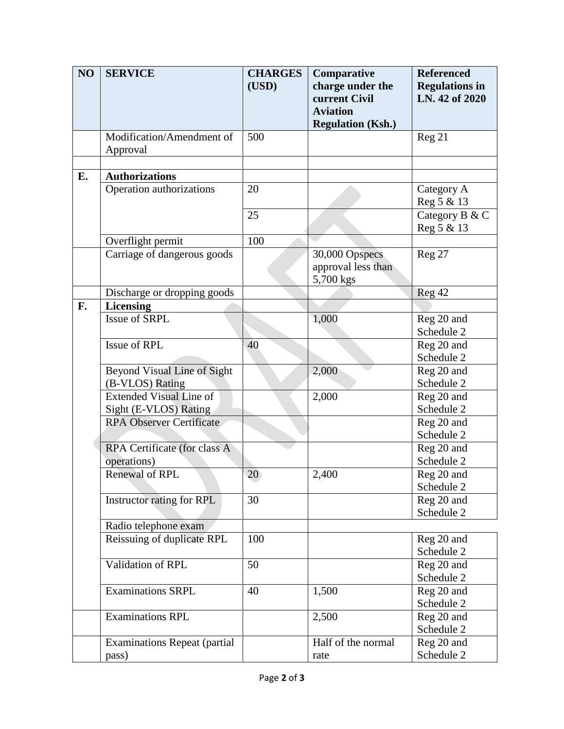| NO | <b>SERVICE</b>                      | <b>CHARGES</b> | Comparative              | <b>Referenced</b>     |
|----|-------------------------------------|----------------|--------------------------|-----------------------|
|    |                                     | (USD)          | charge under the         | <b>Regulations in</b> |
|    |                                     |                | current Civil            | LN. 42 of 2020        |
|    |                                     |                | <b>Aviation</b>          |                       |
|    |                                     |                | <b>Regulation (Ksh.)</b> |                       |
|    | Modification/Amendment of           | 500            |                          | Reg 21                |
|    | Approval                            |                |                          |                       |
|    |                                     |                |                          |                       |
| E. | <b>Authorizations</b>               |                |                          |                       |
|    | Operation authorizations            | 20             |                          | Category A            |
|    |                                     |                |                          | Reg 5 & 13            |
|    |                                     | 25             |                          | Category B & C        |
|    |                                     |                |                          | Reg 5 & 13            |
|    | Overflight permit                   | 100            |                          |                       |
|    | Carriage of dangerous goods         |                | 30,000 Opspecs           | Reg 27                |
|    |                                     |                | approval less than       |                       |
|    |                                     |                | 5,700 kgs                |                       |
|    | Discharge or dropping goods         |                |                          | Reg 42                |
| F. | <b>Licensing</b>                    |                |                          |                       |
|    | Issue of SRPL                       |                | 1,000                    | Reg 20 and            |
|    |                                     |                |                          | Schedule 2            |
|    | Issue of RPL                        | 40             |                          | Reg 20 and            |
|    |                                     |                |                          | Schedule 2            |
|    | Beyond Visual Line of Sight         |                | 2,000                    | Reg 20 and            |
|    | (B-VLOS) Rating                     |                |                          | Schedule 2            |
|    | <b>Extended Visual Line of</b>      |                | 2,000                    | Reg 20 and            |
|    | Sight (E-VLOS) Rating               |                |                          | Schedule 2            |
|    | <b>RPA Observer Certificate</b>     |                |                          | Reg 20 and            |
|    |                                     |                |                          | Schedule 2            |
|    | RPA Certificate (for class A        |                |                          | Reg 20 and            |
|    | operations)                         |                |                          | Schedule 2            |
|    | Renewal of RPL                      | 20             | 2,400                    | Reg 20 and            |
|    |                                     |                |                          | Schedule 2            |
|    | Instructor rating for RPL           | 30             |                          | Reg 20 and            |
|    |                                     |                |                          | Schedule 2            |
|    | Radio telephone exam                |                |                          |                       |
|    | Reissuing of duplicate RPL          | 100            |                          | Reg 20 and            |
|    |                                     |                |                          | Schedule 2            |
|    | Validation of RPL                   | 50             |                          | Reg 20 and            |
|    |                                     |                |                          | Schedule 2            |
|    | <b>Examinations SRPL</b>            | 40             | 1,500                    | Reg 20 and            |
|    |                                     |                |                          | Schedule 2            |
|    | <b>Examinations RPL</b>             |                | 2,500                    | Reg 20 and            |
|    |                                     |                |                          | Schedule 2            |
|    | <b>Examinations Repeat (partial</b> |                | Half of the normal       | Reg 20 and            |
|    | pass)                               |                | rate                     | Schedule 2            |